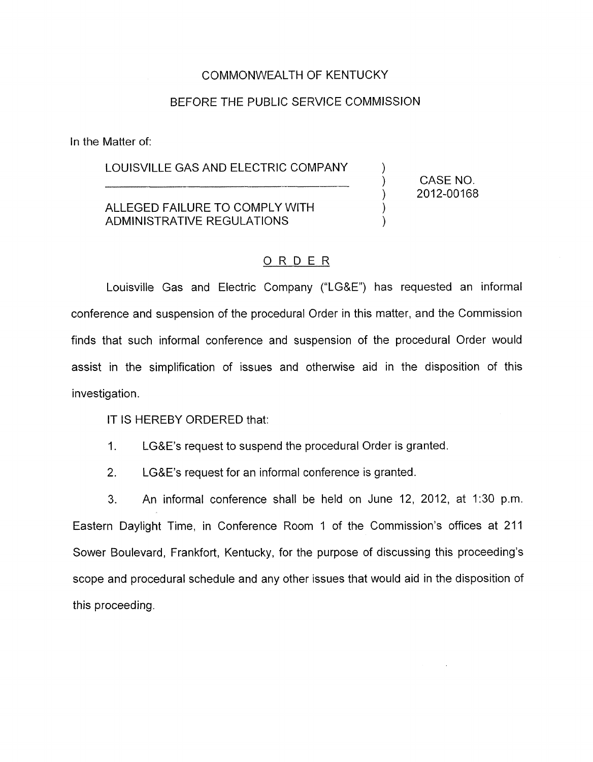### COMMONWEALTH OF KENTUCKY

#### BEFORE THE PUBLIC SERVICE COMMISSION

In the Matter of:

# LOUISVILLE GAS AND ELECTRIC COMPANY ) CASE NO.

## ) ALLEGED FAILURE TO COMPLY WITH ADMINISTRATIVE REGULATIONS

2012-00168

 $\sum_{i=1}^n$ 

)

### ORDER

Louisville Gas and Electric Company ("LG&E") has requested an informal conference and suspension of the procedural Order in this matter, and the Commission finds that such informal conference and suspension of the procedural Order would assist in the simplification of issues and otherwise aid in the disposition of this investigation.

IT IS HEREBY ORDERED that:

- 1. LG&E's request to suspend the procedural Order is granted.
- 2. LG&E's request for an informal conference is granted

3. An informal conference shall be held on June 12, 2012, at 1:30 p.m. Eastern Daylight Time, in Conference Room 1 of the Commission's offices at 211 Sower Boulevard, Frankfort, Kentucky, for the purpose of discussing this proceeding's scope and procedural schedule and any other issues that would aid in the disposition of this proceeding.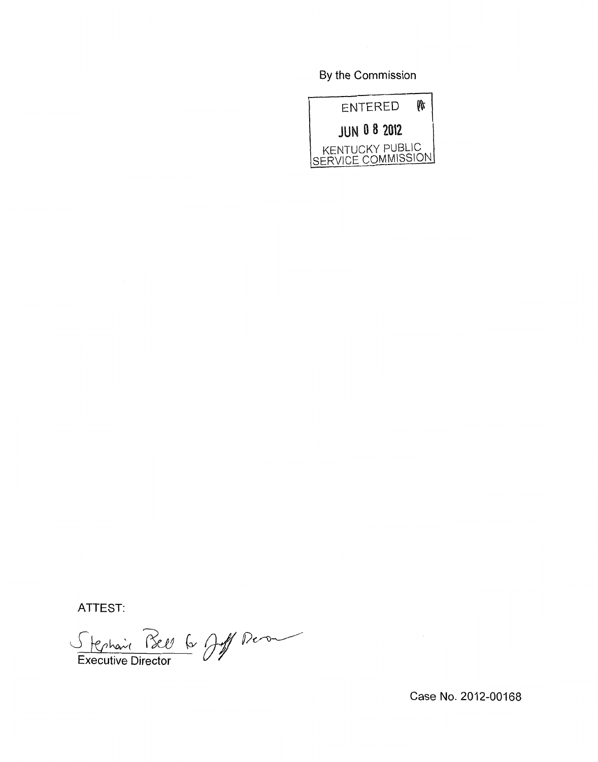By the Commission



ATTEST:

Stephanie Bell 6 Juil Pierre

Case No. 2012-00168